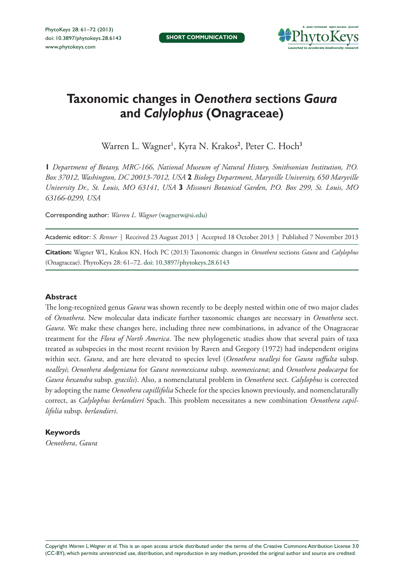

# **Taxonomic changes in** *Oenothera* **sections** *Gaura* **and** *Calylophus* **(Onagraceae)**

Warren L. Wagner', Kyra N. Krakos<sup>2</sup>, Peter C. Hoch<sup>3</sup>

**1** *Department of Botany, MRC-166, National Museum of Natural History, Smithsonian Institution, P.O. Box 37012, Washington, DC 20013-7012, USA* **2** *Biology Department, Maryville University, 650 Maryville University Dr., St. Louis, MO 63141, USA* **3** *Missouri Botanical Garden, P.O. Box 299, St. Louis, MO 63166-0299, USA*

Corresponding author: *Warren L. Wagner* [\(wagnerw@si.edu\)](mailto:wagnerw@si.edu)

Academic editor: *S. Renner* | Received 23 August 2013 | Accepted 18 October 2013 | Published 7 November 2013

**Citation:** Wagner WL, Krakos KN, Hoch PC (2013) Taxonomic changes in *Oenothera* sections *Gaura* and *Calylophus* (Onagraceae). PhytoKeys 28: 61–72. [doi: 10.3897/phytokeys.28.6143](http://dx.doi.org/10.3897/phytokeys.28.6143)

#### **Abstract**

The long-recognized genus *Gaura* was shown recently to be deeply nested within one of two major clades of *Oenothera*. New molecular data indicate further taxonomic changes are necessary in *Oenothera* sect. *Gaura*. We make these changes here, including three new combinations, in advance of the Onagraceae treatment for the *Flora of North America*. The new phylogenetic studies show that several pairs of taxa treated as subspecies in the most recent revision by Raven and Gregory (1972) had independent origins within sect. *Gaura*, and are here elevated to species level (*Oenothera nealleyi* for *Gaura suffulta* subsp. *nealleyi*; *Oenothera dodgeniana* for *Gaura neomexicana* subsp. *neomexicana*; and *Oenothera podocarpa* for *Gaura hexandra* subsp. *gracilis*). Also, a nomenclatural problem in *Oenothera* sect. *Calylophus* is corrected by adopting the name *Oenothera capillifolia* Scheele for the species known previously, and nomenclaturally correct, as *Calylophus berlandieri* Spach. This problem necessitates a new combination *Oenothera capillifolia* subsp. *berlandieri*.

#### **Keywords**

*Oenothera*, *Gaura*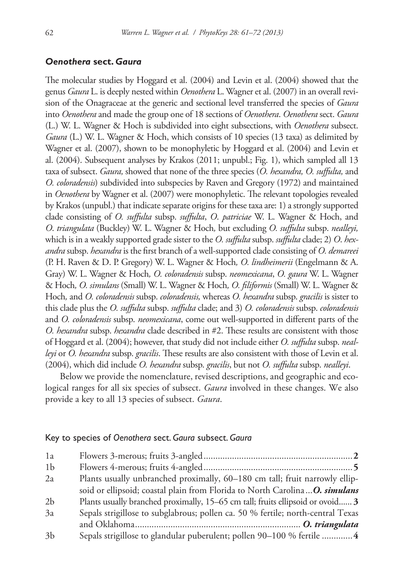#### *Oenothera* **sect.** *Gaura*

The molecular studies by Hoggard et al. (2004) and Levin et al. (2004) showed that the genus *Gaura* L. is deeply nested within *Oenothera* L. Wagner et al. (2007) in an overall revision of the Onagraceae at the generic and sectional level transferred the species of *Gaura*  into *Oenothera* and made the group one of 18 sections of *Oenothera*. *Oenothera* sect. *Gaura*  (L.) W. L. Wagner & Hoch is subdivided into eight subsections, with *Oenothera* subsect. *Gaura* (L.) W. L. Wagner & Hoch, which consists of 10 species (13 taxa) as delimited by Wagner et al. (2007), shown to be monophyletic by Hoggard et al. (2004) and Levin et al. (2004). Subsequent analyses by Krakos (2011; unpubl.; Fig. 1), which sampled all 13 taxa of subsect. *Gaura,* showed that none of the three species (*O. hexandra, O. suffulta,* and *O. coloradensis*) subdivided into subspecies by Raven and Gregory (1972) and maintained in *Oenothera* by Wagner et al. (2007) were monophyletic. The relevant topologies revealed by Krakos (unpubl.) that indicate separate origins for these taxa are: 1) a strongly supported clade consisting of *O. suffulta* subsp. *suffulta*, *O*. *patriciae* W. L. Wagner & Hoch, and *O*. *triangulata* (Buckley) W. L. Wagner & Hoch*,* but excluding *O. suffulta* subsp. *nealleyi,*  which is in a weakly supported grade sister to the *O. suffulta* subsp. *suffulta* clade; 2) *O*. *hexandra* subsp. *hexandra* is the first branch of a well-supported clade consisting of *O. demareei*  (P. H. Raven & D. P. Gregory) W. L. Wagner & Hoch*, O. lindheimerii* (Engelmann & A. Gray) W. L. Wagner & Hoch*, O. coloradensis* subsp. *neomexicana*, *O. gaura* W. L. Wagner & Hoch*, O. simulans* (Small) W. L. Wagner & Hoch*, O. filiformis* (Small) W. L. Wagner & Hoch*,* and *O. coloradensis* subsp. *coloradensis,* whereas *O. hexandra* subsp. *gracilis* is sister to this clade plus the *O. suffulta* subsp. *suffulta* clade; and 3) *O. coloradensis* subsp. *coloradensis*  and *O. coloradensis* subsp. *neomexicana*, come out well-supported in different parts of the *O. hexandra* subsp. *hexandra* clade described in #2. These results are consistent with those of Hoggard et al. (2004); however, that study did not include either *O. suffulta* subsp. *nealleyi* or *O. hexandra* subsp. *gracilis*. These results are also consistent with those of Levin et al. (2004), which did include *O. hexandra* subsp. *gracilis*, but not *O. suffulta* subsp. *nealleyi*.

Below we provide the nomenclature, revised descriptions, and geographic and ecological ranges for all six species of subsect. *Gaura* involved in these changes. We also provide a key to all 13 species of subsect. *Gaura*.

#### Key to species of *Oenothera* sect. *Gaura* subsect. *Gaura*

| 1a             |                                                                                 |
|----------------|---------------------------------------------------------------------------------|
| 1 <sub>b</sub> |                                                                                 |
| 2a             | Plants usually unbranched proximally, 60-180 cm tall; fruit narrowly ellip-     |
|                | soid or ellipsoid; coastal plain from Florida to North Carolina  O. simulans    |
| 2 <sub>b</sub> | Plants usually branched proximally, 15–65 cm tall; fruits ellipsoid or ovoid 3  |
| 3a             | Sepals strigillose to subglabrous; pollen ca. 50 % fertile; north-central Texas |
|                |                                                                                 |
| 3 <sub>b</sub> | Sepals strigillose to glandular puberulent; pollen 90-100 % fertile  4          |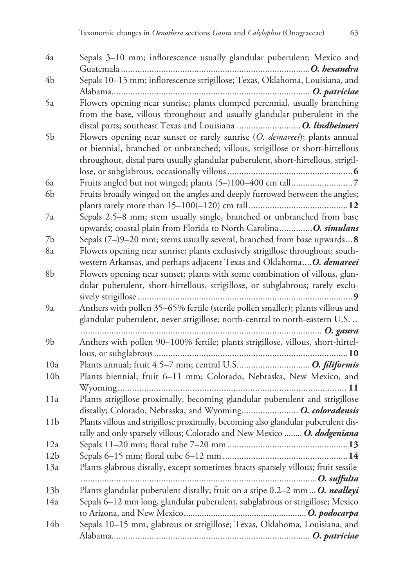| 4a              | Sepals 3-10 mm; inflorescence usually glandular puberulent; Mexico and             |
|-----------------|------------------------------------------------------------------------------------|
|                 |                                                                                    |
| 4b              | Sepals 10-15 mm; inflorescence strigillose; Texas, Oklahoma, Louisiana, and        |
|                 |                                                                                    |
| 5a              | Flowers opening near sunrise; plants clumped perennial, usually branching          |
|                 | from the base, villous throughout and usually glandular puberulent in the          |
|                 |                                                                                    |
| 5b              | Flowers opening near sunset or rarely sunrise (O. demareei); plants annual         |
|                 | or biennial, branched or unbranched; villous, strigillose or short-hirtellous      |
|                 | throughout, distal parts usually glandular puberulent, short-hirtellous, strigil-  |
|                 |                                                                                    |
| 6a              |                                                                                    |
| 6b              | Fruits broadly winged on the angles and deeply furrowed between the angles;        |
|                 |                                                                                    |
| 7a              | Sepals 2.5–8 mm; stem usually single, branched or unbranched from base             |
|                 | upwards; coastal plain from Florida to North Carolina O. simulans                  |
| 7b              | Sepals $(7-)9-20$ mm; stems usually several, branched from base upwards <b>8</b>   |
| 8а              | Flowers opening near sunrise; plants exclusively strigillose throughout; south-    |
|                 | western Arkansas, and perhaps adjacent Texas and OklahomaO. demareei               |
| 8b              | Flowers opening near sunset; plants with some combination of villous, glan-        |
|                 | dular puberulent, short-hirtellous, strigillose, or subglabrous; rarely exclu-     |
|                 |                                                                                    |
| 9a              | Anthers with pollen 35-65% fertile (sterile pollen smaller); plants villous and    |
|                 | glandular puberulent, never strigillose; north-central to north-eastern U.S.       |
|                 |                                                                                    |
| 9b              | Anthers with pollen 90-100% fertile; plants strigillose, villous, short-hirtel-    |
|                 |                                                                                    |
| 10a             |                                                                                    |
| 10 <sub>b</sub> | Plants biennial; fruit 6-11 mm; Colorado, Nebraska, New Mexico, and                |
|                 |                                                                                    |
| 11a             | Plants strigillose proximally, becoming glandular puberulent and strigillose       |
|                 | distally; Colorado, Nebraska, and Wyoming O. coloradensis                          |
| 11 <sub>b</sub> | Plants villous and strigillose proximally, becoming also glandular puberulent dis- |
| 12a             | tally and only sparsely villous; Colorado and New Mexico  O. dodgeniana            |
| 12 <sub>b</sub> |                                                                                    |
| 13a             | Plants glabrous distally, except sometimes bracts sparsely villous; fruit sessile  |
|                 |                                                                                    |
| 13 <sub>b</sub> | Plants glandular puberulent distally; fruit on a stipe 0.2-2 mm O. nealleyi        |
| 14a             | Sepals 6–12 mm long, glandular puberulent, subglabrous or strigillose; Mexico      |
|                 |                                                                                    |
| 14b             | Sepals 10-15 mm, glabrous or strigillose; Texas, Oklahoma, Louisiana, and          |
|                 |                                                                                    |
|                 |                                                                                    |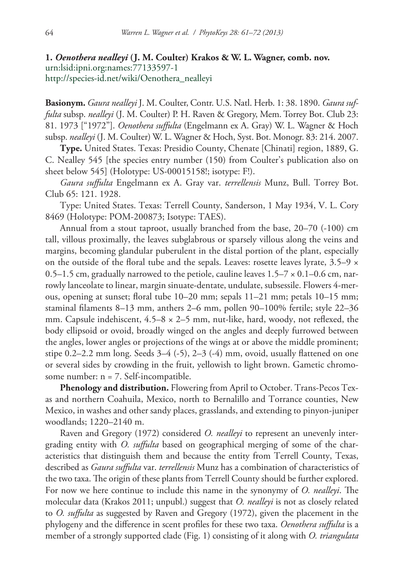**1.** *Oenothera nealleyi* **(J. M. Coulter) Krakos & W. L. Wagner, comb. nov.** [urn:lsid:ipni.org:names:77133597-1](http://ipni.org/urn:lsid:ipni.org:names:77133597-1) [http://species-id.net/wiki/Oenothera\\_nealleyi](http://species-id.net/wiki/Oenothera_nealleyi)

**Basionym.** *Gaura nealleyi* J. M. Coulter, Contr. U.S. Natl. Herb. 1: 38. 1890. *Gaura suffulta* subsp. *nealleyi* (J. M. Coulter) P. H. Raven & Gregory, Mem. Torrey Bot. Club 23: 81. 1973 ["1972"]. *Oenothera suffulta* (Engelmann ex A. Gray) W. L. Wagner & Hoch subsp. *nealleyi* (J. M. Coulter) W. L. Wagner & Hoch, Syst. Bot. Monogr. 83: 214. 2007.

**Type.** United States. Texas: Presidio County, Chenate [Chinati] region, 1889, G. C. Nealley 545 [the species entry number (150) from Coulter's publication also on sheet below 545] (Holotype: US-00015158!; isotype: F!).

*Gaura suffulta* Engelmann ex A. Gray var. *terrellensis* Munz, Bull. Torrey Bot. Club 65: 121. 1928.

Type: United States. Texas: Terrell County, Sanderson, 1 May 1934, V. L. Cory 8469 (Holotype: POM-200873; Isotype: TAES).

Annual from a stout taproot, usually branched from the base, 20–70 (-100) cm tall, villous proximally, the leaves subglabrous or sparsely villous along the veins and margins, becoming glandular puberulent in the distal portion of the plant, especially on the outside of the floral tube and the sepals. Leaves: rosette leaves lyrate,  $3.5-9 \times$ 0.5–1.5 cm, gradually narrowed to the petiole, cauline leaves  $1.5-7 \times 0.1-0.6$  cm, narrowly lanceolate to linear, margin sinuate-dentate, undulate, subsessile. Flowers 4-merous, opening at sunset; floral tube 10–20 mm; sepals 11–21 mm; petals 10–15 mm; staminal filaments 8–13 mm, anthers 2–6 mm, pollen 90–100% fertile; style 22–36 mm. Capsule indehiscent,  $4.5-8 \times 2-5$  mm, nut-like, hard, woody, not reflexed, the body ellipsoid or ovoid, broadly winged on the angles and deeply furrowed between the angles, lower angles or projections of the wings at or above the middle prominent; stipe  $0.2-2.2$  mm long. Seeds  $3-4$  (-5),  $2-3$  (-4) mm, ovoid, usually flattened on one or several sides by crowding in the fruit, yellowish to light brown. Gametic chromosome number: n = 7. Self-incompatible.

**Phenology and distribution.** Flowering from April to October. Trans-Pecos Texas and northern Coahuila, Mexico, north to Bernalillo and Torrance counties, New Mexico, in washes and other sandy places, grasslands, and extending to pinyon-juniper woodlands; 1220–2140 m.

Raven and Gregory (1972) considered *O. nealleyi* to represent an unevenly intergrading entity with *O. suffulta* based on geographical merging of some of the characteristics that distinguish them and because the entity from Terrell County, Texas, described as *Gaura suffulta* var. *terrellensis* Munz has a combination of characteristics of the two taxa. The origin of these plants from Terrell County should be further explored. For now we here continue to include this name in the synonymy of *O. nealleyi*. The molecular data (Krakos 2011; unpubl.) suggest that *O. nealleyi* is not as closely related to *O. suffulta* as suggested by Raven and Gregory (1972), given the placement in the phylogeny and the difference in scent profiles for these two taxa. *Oenothera suffulta* is a member of a strongly supported clade (Fig. 1) consisting of it along with *O. triangulata*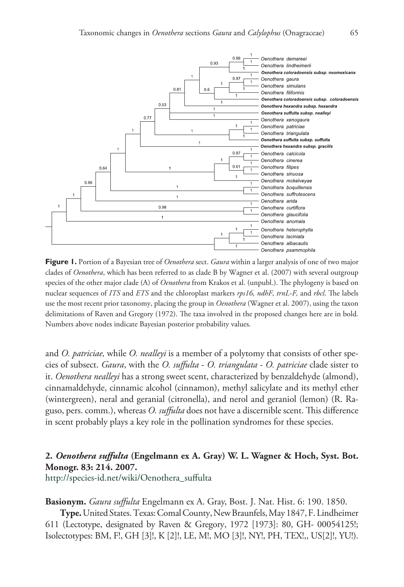

**Figure 1.** Portion of a Bayesian tree of *Oenothera* sect. *Gaura* within a larger analysis of one of two major clades of *Oenothera*, which has been referred to as clade B by Wagner et al. (2007) with several outgroup species of the other major clade (A) of *Oenothera* from Krakos et al. (unpubl.). The phylogeny is based on nuclear sequences of *ITS* and *ETS* and the chloroplast markers *rps16, ndhF, trnL-F,* and *rbcl*. The labels use the most recent prior taxonomy, placing the group in *Oenothera* (Wagner et al. 2007), using the taxon delimitations of Raven and Gregory (1972). The taxa involved in the proposed changes here are in bold. Numbers above nodes indicate Bayesian posterior probability values.

and *O. patriciae,* while *O. nealleyi* is a member of a polytomy that consists of other species of subsect. *Gaura*, with the *O. suffulta* - *O. triangulata* - *O. patriciae* clade sister to it. *Oenothera nealleyi* has a strong sweet scent, characterized by benzaldehyde (almond), cinnamaldehyde, cinnamic alcohol (cinnamon), methyl salicylate and its methyl ether (wintergreen), neral and geranial (citronella), and nerol and geraniol (lemon) (R. Raguso, pers. comm.), whereas *O. suffulta* does not have a discernible scent. This difference in scent probably plays a key role in the pollination syndromes for these species.

## **2.** *Oenothera suffulta* **(Engelmann ex A. Gray) W. L. Wagner & Hoch, Syst. Bot. Monogr. 83: 214. 2007.**

[http://species-id.net/wiki/Oenothera\\_suffulta](http://species-id.net/wiki/Oenothera_suffulta)

**Basionym.** *Gaura suffulta* Engelmann ex A. Gray, Bost. J. Nat. Hist. 6: 190. 1850.

**Type.** United States. Texas: Comal County, New Braunfels, May 1847, F. Lindheimer 611 (Lectotype, designated by Raven & Gregory, 1972 [1973]: 80, GH- 00054125!; Isolectotypes: BM, F!, GH [3]!, K [2]!, LE, M!, MO [3]!, NY!, PH, TEX!,, US[2]!, YU!).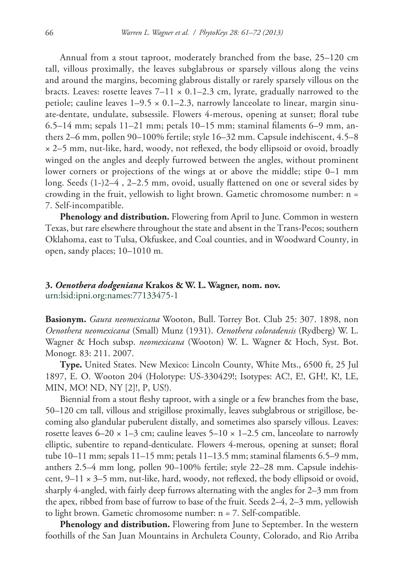Annual from a stout taproot, moderately branched from the base, 25–120 cm tall, villous proximally, the leaves subglabrous or sparsely villous along the veins and around the margins, becoming glabrous distally or rarely sparsely villous on the bracts. Leaves: rosette leaves  $7-11 \times 0.1-2.3$  cm, lyrate, gradually narrowed to the petiole; cauline leaves  $1-9.5 \times 0.1-2.3$ , narrowly lanceolate to linear, margin sinuate-dentate, undulate, subsessile. Flowers 4-merous, opening at sunset; floral tube 6.5–14 mm; sepals 11–21 mm; petals 10–15 mm; staminal filaments 6–9 mm, anthers 2–6 mm, pollen 90–100% fertile; style 16–32 mm. Capsule indehiscent, 4.5–8 × 2–5 mm, nut-like, hard, woody, not reflexed, the body ellipsoid or ovoid, broadly winged on the angles and deeply furrowed between the angles, without prominent lower corners or projections of the wings at or above the middle; stipe 0–1 mm long. Seeds (1-)2–4 , 2–2.5 mm, ovoid, usually flattened on one or several sides by crowding in the fruit, yellowish to light brown. Gametic chromosome number: n = 7. Self-incompatible.

**Phenology and distribution.** Flowering from April to June. Common in western Texas, but rare elsewhere throughout the state and absent in the Trans-Pecos; southern Oklahoma, east to Tulsa, Okfuskee, and Coal counties, and in Woodward County, in open, sandy places; 10–1010 m.

## **3.** *Oenothera dodgeniana* **Krakos & W. L. Wagner, nom. nov.** [urn:lsid:ipni.org:names:77133475-1](http://ipni.org/urn:lsid:ipni.org:names:77133475-1)

**Basionym.** *Gaura neomexicana* Wooton, Bull. Torrey Bot. Club 25: 307. 1898, non *Oenothera neomexicana* (Small) Munz (1931). *Oenothera coloradensis* (Rydberg) W. L. Wagner & Hoch subsp. *neomexicana* (Wooton) W. L. Wagner & Hoch, Syst. Bot. Monogr. 83: 211. 2007.

**Type.** United States. New Mexico: Lincoln County, White Mts., 6500 ft, 25 Jul 1897, E. O. Wooton 204 (Holotype: US-330429!; Isotypes: AC!, E!, GH!, K!, LE, MIN, MO! ND, NY [2]!, P, US!).

Biennial from a stout fleshy taproot, with a single or a few branches from the base, 50–120 cm tall, villous and strigillose proximally, leaves subglabrous or strigillose, becoming also glandular puberulent distally, and sometimes also sparsely villous. Leaves: rosette leaves  $6-20 \times 1-3$  cm; cauline leaves  $5-10 \times 1-2.5$  cm, lanceolate to narrowly elliptic, subentire to repand-denticulate. Flowers 4-merous, opening at sunset; floral tube 10–11 mm; sepals 11–15 mm; petals 11–13.5 mm; staminal filaments 6.5–9 mm, anthers 2.5–4 mm long, pollen 90–100% fertile; style 22–28 mm. Capsule indehiscent,  $9-11 \times 3-5$  mm, nut-like, hard, woody, not reflexed, the body ellipsoid or ovoid, sharply 4-angled, with fairly deep furrows alternating with the angles for 2–3 mm from the apex, ribbed from base of furrow to base of the fruit. Seeds 2–4, 2–3 mm, yellowish to light brown. Gametic chromosome number: n = 7. Self-compatible.

**Phenology and distribution.** Flowering from June to September. In the western foothills of the San Juan Mountains in Archuleta County, Colorado, and Rio Arriba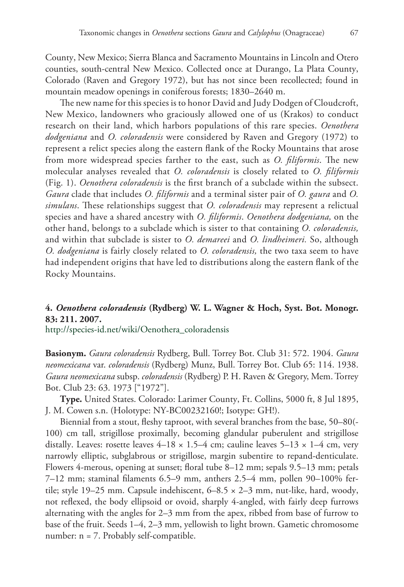County, New Mexico; Sierra Blanca and Sacramento Mountains in Lincoln and Otero counties, south-central New Mexico. Collected once at Durango, La Plata County, Colorado (Raven and Gregory 1972), but has not since been recollected; found in mountain meadow openings in coniferous forests; 1830–2640 m.

The new name for this species is to honor David and Judy Dodgen of Cloudcroft, New Mexico, landowners who graciously allowed one of us (Krakos) to conduct research on their land, which harbors populations of this rare species. *Oenothera dodgeniana* and *O. coloradensis* were considered by Raven and Gregory (1972) to represent a relict species along the eastern flank of the Rocky Mountains that arose from more widespread species farther to the east, such as *O. filiformis*. The new molecular analyses revealed that *O. coloradensis* is closely related to *O. filiformis*  (Fig. 1). *Oenothera coloradensis* is the first branch of a subclade within the subsect. *Gaura* clade that includes *O. filiformis* and a terminal sister pair of *O. gaura* and *O. simulans*. These relationships suggest that *O. coloradensis* may represent a relictual species and have a shared ancestry with *O. filiformis*. *Oenothera dodgeniana,* on the other hand, belongs to a subclade which is sister to that containing *O. coloradensis,* and within that subclade is sister to *O. demareei* and *O. lindheimeri.* So, although *O. dodgeniana* is fairly closely related to *O. coloradensis,* the two taxa seem to have had independent origins that have led to distributions along the eastern flank of the Rocky Mountains.

## **4.** *Oenothera coloradensis* **(Rydberg) W. L. Wagner & Hoch, Syst. Bot. Monogr. 83: 211. 2007.**

[http://species-id.net/wiki/Oenothera\\_coloradensis](http://species-id.net/wiki/Oenothera_coloradensis)

**Basionym.** *Gaura coloradensis* Rydberg, Bull. Torrey Bot. Club 31: 572. 1904. *Gaura neomexicana* var. *coloradensis* (Rydberg) Munz, Bull. Torrey Bot. Club 65: 114. 1938. *Gaura neomexicana* subsp. *coloradensis* (Rydberg) P. H. Raven & Gregory, Mem. Torrey Bot. Club 23: 63. 1973 ["1972"].

**Type.** United States. Colorado: Larimer County, Ft. Collins, 5000 ft, 8 Jul 1895, J. M. Cowen s.n. (Holotype: NY-BC00232160!; Isotype: GH!).

Biennial from a stout, fleshy taproot, with several branches from the base, 50–80(- 100) cm tall, strigillose proximally, becoming glandular puberulent and strigillose distally. Leaves: rosette leaves  $4-18 \times 1.5-4$  cm; cauline leaves  $5-13 \times 1-4$  cm, very narrowly elliptic, subglabrous or strigillose, margin subentire to repand-denticulate. Flowers 4-merous, opening at sunset; floral tube 8–12 mm; sepals 9.5–13 mm; petals 7–12 mm; staminal filaments 6.5–9 mm, anthers 2.5–4 mm, pollen 90–100% fertile; style 19–25 mm. Capsule indehiscent,  $6-8.5 \times 2-3$  mm, nut-like, hard, woody, not reflexed, the body ellipsoid or ovoid, sharply 4-angled, with fairly deep furrows alternating with the angles for 2–3 mm from the apex, ribbed from base of furrow to base of the fruit. Seeds 1–4, 2–3 mm, yellowish to light brown. Gametic chromosome number: n = 7. Probably self-compatible.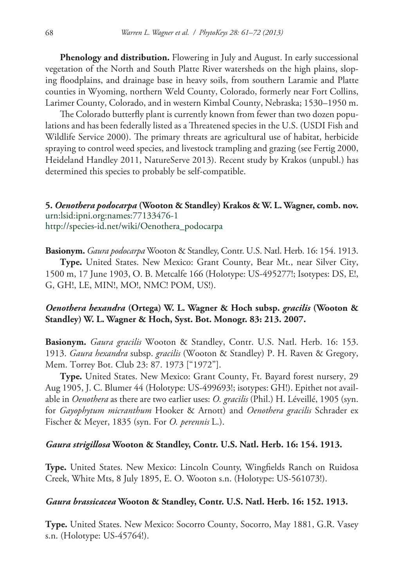**Phenology and distribution.** Flowering in July and August. In early successional vegetation of the North and South Platte River watersheds on the high plains, sloping floodplains, and drainage base in heavy soils, from southern Laramie and Platte counties in Wyoming, northern Weld County, Colorado, formerly near Fort Collins, Larimer County, Colorado, and in western Kimbal County, Nebraska; 1530–1950 m.

The Colorado butterfly plant is currently known from fewer than two dozen populations and has been federally listed as a Threatened species in the U.S. (USDI Fish and Wildlife Service 2000). The primary threats are agricultural use of habitat, herbicide spraying to control weed species, and livestock trampling and grazing (see Fertig 2000, Heideland Handley 2011, NatureServe 2013). Recent study by Krakos (unpubl.) has determined this species to probably be self-compatible.

## **5.** *Oenothera podocarpa* **(Wooton & Standley) Krakos & W. L. Wagner, comb. nov.** [urn:lsid:ipni.org:names:77133476-1](http://ipni.org/urn:lsid:ipni.org:names:77133476-1) [http://species-id.net/wiki/Oenothera\\_podocarpa](http://species-id.net/wiki/Oenothera_podocarpa)

**Basionym.** *Gaura podocarpa* Wooton & Standley, Contr. U.S. Natl. Herb. 16: 154. 1913. **Type.** United States. New Mexico: Grant County, Bear Mt., near Silver City, 1500 m, 17 June 1903, O. B. Metcalfe 166 (Holotype: US-495277!; Isotypes: DS, E!, G, GH!, LE, MIN!, MO!, NMC! POM, US!).

## *Oenothera hexandra* **(Ortega) W. L. Wagner & Hoch subsp.** *gracilis* **(Wooton & Standley) W. L. Wagner & Hoch, Syst. Bot. Monogr. 83: 213. 2007.**

**Basionym.** *Gaura gracilis* Wooton & Standley, Contr. U.S. Natl. Herb. 16: 153. 1913. *Gaura hexandra* subsp. *gracilis* (Wooton & Standley) P. H. Raven & Gregory, Mem. Torrey Bot. Club 23: 87. 1973 ["1972"].

**Type.** United States. New Mexico: Grant County, Ft. Bayard forest nursery, 29 Aug 1905, J. C. Blumer 44 (Holotype: US-499693!; isotypes: GH!). Epithet not available in *Oenothera* as there are two earlier uses: *O. gracilis* (Phil.) H. Léveillé, 1905 (syn. for *Gayophytum micranthum* Hooker & Arnott) and *Oenothera gracilis* Schrader ex Fischer & Meyer, 1835 (syn. For *O. perennis* L.).

#### *Gaura strigillosa* **Wooton & Standley, Contr. U.S. Natl. Herb. 16: 154. 1913.**

**Type.** United States. New Mexico: Lincoln County, Wingfields Ranch on Ruidosa Creek, White Mts, 8 July 1895, E. O. Wooton s.n. (Holotype: US-561073!).

#### *Gaura brassicacea* **Wooton & Standley, Contr. U.S. Natl. Herb. 16: 152. 1913.**

**Type.** United States. New Mexico: Socorro County, Socorro, May 1881, G.R. Vasey s.n. (Holotype: US-45764!).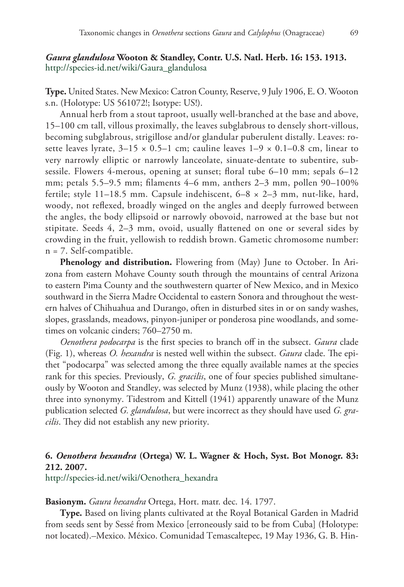## *Gaura glandulosa* **Wooton & Standley, Contr. U.S. Natl. Herb. 16: 153. 1913.** [http://species-id.net/wiki/Gaura\\_glandulosa](http://species-id.net/wiki/Gaura_glandulosa)

**Type.** United States. New Mexico: Catron County, Reserve, 9 July 1906, E. O. Wooton s.n. (Holotype: US 561072!; Isotype: US!).

Annual herb from a stout taproot, usually well-branched at the base and above, 15–100 cm tall, villous proximally, the leaves subglabrous to densely short-villous, becoming subglabrous, strigillose and/or glandular puberulent distally. Leaves: rosette leaves lyrate,  $3-15 \times 0.5-1$  cm; cauline leaves  $1-9 \times 0.1-0.8$  cm, linear to very narrowly elliptic or narrowly lanceolate, sinuate-dentate to subentire, subsessile. Flowers 4-merous, opening at sunset; floral tube 6–10 mm; sepals 6–12 mm; petals 5.5–9.5 mm; filaments 4–6 mm, anthers 2–3 mm, pollen 90–100% fertile; style 11–18.5 mm. Capsule indehiscent, 6–8 × 2–3 mm, nut-like, hard, woody, not reflexed, broadly winged on the angles and deeply furrowed between the angles, the body ellipsoid or narrowly obovoid, narrowed at the base but not stipitate. Seeds 4, 2–3 mm, ovoid, usually flattened on one or several sides by crowding in the fruit, yellowish to reddish brown. Gametic chromosome number: n = 7. Self-compatible.

Phenology and distribution. Flowering from (May) June to October. In Arizona from eastern Mohave County south through the mountains of central Arizona to eastern Pima County and the southwestern quarter of New Mexico, and in Mexico southward in the Sierra Madre Occidental to eastern Sonora and throughout the western halves of Chihuahua and Durango, often in disturbed sites in or on sandy washes, slopes, grasslands, meadows, pinyon-juniper or ponderosa pine woodlands, and sometimes on volcanic cinders; 760–2750 m.

*Oenothera podocarpa* is the first species to branch off in the subsect. *Gaura* clade (Fig. 1), whereas *O. hexandra* is nested well within the subsect. *Gaura* clade. The epithet "podocarpa" was selected among the three equally available names at the species rank for this species. Previously, *G. gracilis*, one of four species published simultaneously by Wooton and Standley, was selected by Munz (1938), while placing the other three into synonymy. Tidestrom and Kittell (1941) apparently unaware of the Munz publication selected *G. glandulosa*, but were incorrect as they should have used *G. gracilis*. They did not establish any new priority.

# **6.** *Oenothera hexandra* **(Ortega) W. L. Wagner & Hoch, Syst. Bot Monogr. 83: 212. 2007.**

[http://species-id.net/wiki/Oenothera\\_hexandra](http://species-id.net/wiki/Oenothera_hexandra)

#### **Basionym.** *Gaura hexandra* Ortega, Hort. matr. dec. 14. 1797.

**Type.** Based on living plants cultivated at the Royal Botanical Garden in Madrid from seeds sent by Sessé from Mexico [erroneously said to be from Cuba] (Holotype: not located).–Mexico. México. Comunidad Temascaltepec, 19 May 1936, G. B. Hin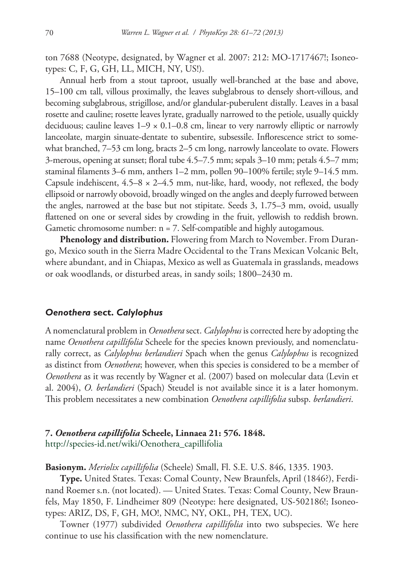ton 7688 (Neotype, designated, by Wagner et al. 2007: 212: MO-1717467!; Isoneotypes: C, F, G, GH, LL, MICH, NY, US!).

Annual herb from a stout taproot, usually well-branched at the base and above, 15–100 cm tall, villous proximally, the leaves subglabrous to densely short-villous, and becoming subglabrous, strigillose, and/or glandular-puberulent distally. Leaves in a basal rosette and cauline; rosette leaves lyrate, gradually narrowed to the petiole, usually quickly deciduous; cauline leaves  $1-9 \times 0.1-0.8$  cm, linear to very narrowly elliptic or narrowly lanceolate, margin sinuate-dentate to subentire, subsessile. Inflorescence strict to somewhat branched, 7–53 cm long, bracts 2–5 cm long, narrowly lanceolate to ovate. Flowers 3-merous, opening at sunset; floral tube 4.5–7.5 mm; sepals 3–10 mm; petals 4.5–7 mm; staminal filaments 3–6 mm, anthers 1–2 mm, pollen 90–100% fertile; style 9–14.5 mm. Capsule indehiscent,  $4.5-8 \times 2-4.5$  mm, nut-like, hard, woody, not reflexed, the body ellipsoid or narrowly obovoid, broadly winged on the angles and deeply furrowed between the angles, narrowed at the base but not stipitate. Seeds 3, 1.75–3 mm, ovoid, usually flattened on one or several sides by crowding in the fruit, yellowish to reddish brown. Gametic chromosome number: n = 7. Self-compatible and highly autogamous.

**Phenology and distribution.** Flowering from March to November. From Durango, Mexico south in the Sierra Madre Occidental to the Trans Mexican Volcanic Belt, where abundant, and in Chiapas, Mexico as well as Guatemala in grasslands, meadows or oak woodlands, or disturbed areas, in sandy soils; 1800–2430 m.

#### *Oenothera* **sect.** *Calylophus*

A nomenclatural problem in *Oenothera* sect. *Calylophus* is corrected here by adopting the name *Oenothera capillifolia* Scheele for the species known previously, and nomenclaturally correct, as *Calylophus berlandieri* Spach when the genus *Calylophus* is recognized as distinct from *Oenothera*; however, when this species is considered to be a member of *Oenothera* as it was recently by Wagner et al. (2007) based on molecular data (Levin et al. 2004), *O. berlandieri* (Spach) Steudel is not available since it is a later homonym. This problem necessitates a new combination *Oenothera capillifolia* subsp. *berlandieri*.

## **7.** *Oenothera capillifolia* **Scheele, Linnaea 21: 576. 1848.** [http://species-id.net/wiki/Oenothera\\_capillifolia](http://species-id.net/wiki/Oenothera_capillifolia)

**Basionym.** *Meriolix capillifolia* (Scheele) Small, Fl. S.E. U.S. 846, 1335. 1903.

**Type.** United States. Texas: Comal County, New Braunfels, April (1846?), Ferdinand Roemer s.n. (not located). — United States. Texas: Comal County, New Braunfels, May 1850, F. Lindheimer 809 (Neotype: here designated, US-502186!; Isoneotypes: ARIZ, DS, F, GH, MO!, NMC, NY, OKL, PH, TEX, UC).

Towner (1977) subdivided *Oenothera capillifolia* into two subspecies. We here continue to use his classification with the new nomenclature.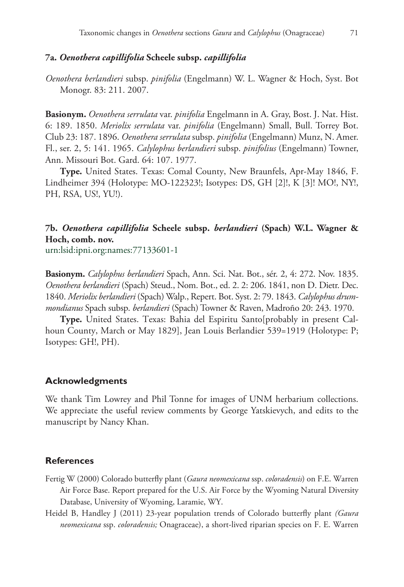#### **7a.** *Oenothera capillifolia* **Scheele subsp.** *capillifolia*

*Oenothera berlandieri* subsp. *pinifolia* (Engelmann) W. L. Wagner & Hoch, Syst. Bot Monogr. 83: 211. 2007.

**Basionym.** *Oenothera serrulata* var. *pinifolia* Engelmann in A. Gray, Bost. J. Nat. Hist. 6: 189. 1850. *Meriolix serrulata* var. *pinifolia* (Engelmann) Small, Bull. Torrey Bot. Club 23: 187. 1896. *Oenothera serrulata* subsp. *pinifolia* (Engelmann) Munz, N. Amer. Fl., ser. 2, 5: 141. 1965. *Calylophus berlandieri* subsp. *pinifolius* (Engelmann) Towner, Ann. Missouri Bot. Gard. 64: 107. 1977.

**Type.** United States. Texas: Comal County, New Braunfels, Apr-May 1846, F. Lindheimer 394 (Holotype: MO-122323!; Isotypes: DS, GH [2]!, K [3]! MO!, NY!, PH, RSA, US!, YU!).

# **7b.** *Oenothera capillifolia* **Scheele subsp.** *berlandieri* **(Spach) W.L. Wagner & Hoch, comb. nov.**

[urn:lsid:ipni.org:names:77133601-1](http://ipni.org/urn:lsid:ipni.org:names:77133601-1)

**Basionym.** *Calylophus berlandieri* Spach, Ann. Sci. Nat. Bot., sér. 2, 4: 272. Nov. 1835. *Oenothera berlandieri* (Spach) Steud., Nom. Bot., ed. 2. 2: 206. 1841, non D. Dietr. Dec. 1840. *Meriolix berlandieri* (Spach) Walp., Repert. Bot. Syst. 2: 79. 1843. *Calylophus drummondianus* Spach subsp. *berlandieri* (Spach) Towner & Raven, Madroño 20: 243. 1970.

**Type.** United States. Texas: Bahia del Espiritu Santo[probably in present Calhoun County, March or May 1829], Jean Louis Berlandier 539=1919 (Holotype: P; Isotypes: GH!, PH).

#### **Acknowledgments**

We thank Tim Lowrey and Phil Tonne for images of UNM herbarium collections. We appreciate the useful review comments by George Yatskievych, and edits to the manuscript by Nancy Khan.

#### **References**

- Fertig W (2000) Colorado butterfly plant (*Gaura neomexicana* ssp. *coloradensis*) on F.E. Warren Air Force Base. Report prepared for the U.S. Air Force by the Wyoming Natural Diversity Database, University of Wyoming, Laramie, WY.
- Heidel B, Handley J (2011) 23-year population trends of Colorado butterfly plant *(Gaura neomexicana* ssp. *coloradensis;* Onagraceae), a short-lived riparian species on F. E. Warren